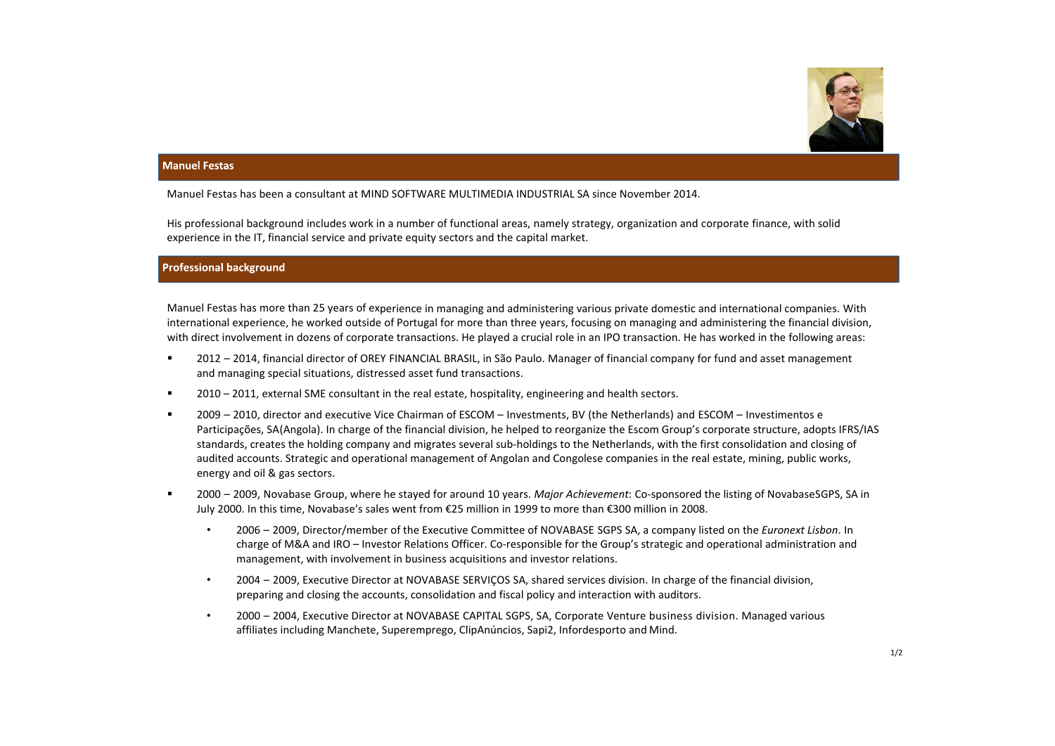

## **Manuel Festas**

Manuel Festas has been <sup>a</sup> consultant at MIND SOFTWARE MULTIMEDIA INDUSTRIAL SA since November 2014.

His professional background includes work in <sup>a</sup> number of functional areas, namely strategy, organization and corporate finance, with solid experience in the IT, financial service and private equity sectors and the capital market.

## **Professional background**

Manuel Festas has more than 25 years of experience in managing and administering various private domestic and international companies. With international experience, he worked outside of Portugal for more than three years, focusing on managing and administering the financial division, with direct involvement in dozens of corporate transactions. He played <sup>a</sup> crucial role in an IPO transaction. He has worked in the following areas:

- п 2012 – 2014, financial director of OREY FINANCIAL BRASIL, in São Paulo. Manager of financial company for fund and asset management and managing special situations, distressed asset fund transactions.
- $\blacksquare$ ■ 2010 – 2011, external SME consultant in the real estate, hospitality, engineering and health sectors.
- $\blacksquare$  2009 – 2010, director and executive Vice Chairman of ESCOM – Investments, BV (the Netherlands) and ESCOM – Investimentos <sup>e</sup> Participações, SA(Angola). In charge of the financial division, he helped to reorganize the Escom Group's corporate structure, adopts IFRS/IAS standards, creates the holding company and migrates several sub‐holdings to the Netherlands, with the first consolidation and closing of audited accounts. Strategic and operational management of Angolan and Congolese companies in the real estate, mining, public works, energy and oil & gas sectors.
- п ■ 2000 – 2009, Novabase Group, where he stayed for around 10 years. *Major Achievement*: Co-sponsored the listing of NovabaseSGPS, SA in July 2000. In this time, Novabase's sales went from €25 million in 1999 to more than €300 million in 2008.
	- • 2006 – 2009, Director/member of the Executive Committee of NOVABASE SGPS SA, <sup>a</sup> company listed on the *Euronext Lisbon*. In charge of M&A and IRO – Investor Relations Officer. Co-responsible for the Group's strategic and operational administration and management, with involvement in business acquisitions and investor relations.
	- • 2004 – 2009, Executive Director at NOVABASE SERVIÇOS SA, shared services division. In charge of the financial division, preparing and closing the accounts, consolidation and fiscal policy and interaction with auditors.
	- • 2000 – 2004, Executive Director at NOVABASE CAPITAL SGPS, SA, Corporate Venture business division. Managed various affiliates including Manchete, Superemprego, ClipAnúncios, Sapi2, Infordesporto and Mind.